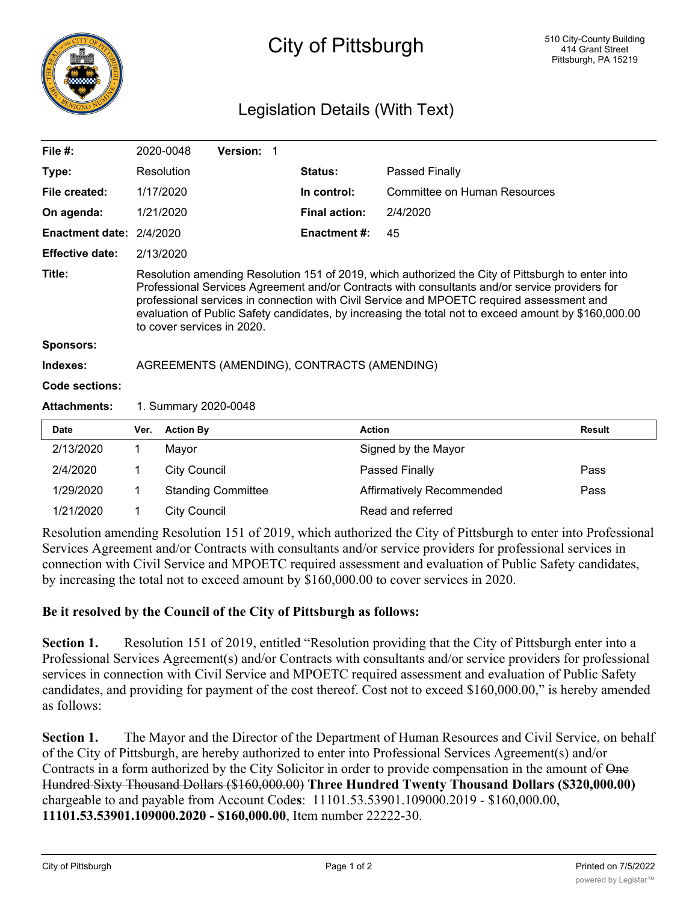

## City of Pittsburgh

## Legislation Details (With Text)

| File #:                |                                                                                                                                                                                                                                                                                                                                                                                                                                        | 2020-0048           | Version: 1                |                      |                              |               |  |
|------------------------|----------------------------------------------------------------------------------------------------------------------------------------------------------------------------------------------------------------------------------------------------------------------------------------------------------------------------------------------------------------------------------------------------------------------------------------|---------------------|---------------------------|----------------------|------------------------------|---------------|--|
| Type:                  |                                                                                                                                                                                                                                                                                                                                                                                                                                        | Resolution          |                           | <b>Status:</b>       | Passed Finally               |               |  |
| File created:          |                                                                                                                                                                                                                                                                                                                                                                                                                                        | 1/17/2020           |                           | In control:          | Committee on Human Resources |               |  |
| On agenda:             |                                                                                                                                                                                                                                                                                                                                                                                                                                        | 1/21/2020           |                           | <b>Final action:</b> | 2/4/2020                     |               |  |
| <b>Enactment date:</b> | 2/4/2020                                                                                                                                                                                                                                                                                                                                                                                                                               |                     |                           | <b>Enactment #:</b>  | 45                           |               |  |
| <b>Effective date:</b> | 2/13/2020                                                                                                                                                                                                                                                                                                                                                                                                                              |                     |                           |                      |                              |               |  |
| Title:                 | Resolution amending Resolution 151 of 2019, which authorized the City of Pittsburgh to enter into<br>Professional Services Agreement and/or Contracts with consultants and/or service providers for<br>professional services in connection with Civil Service and MPOETC required assessment and<br>evaluation of Public Safety candidates, by increasing the total not to exceed amount by \$160,000.00<br>to cover services in 2020. |                     |                           |                      |                              |               |  |
| <b>Sponsors:</b>       |                                                                                                                                                                                                                                                                                                                                                                                                                                        |                     |                           |                      |                              |               |  |
| Indexes:               | AGREEMENTS (AMENDING), CONTRACTS (AMENDING)                                                                                                                                                                                                                                                                                                                                                                                            |                     |                           |                      |                              |               |  |
| Code sections:         |                                                                                                                                                                                                                                                                                                                                                                                                                                        |                     |                           |                      |                              |               |  |
| <b>Attachments:</b>    | 1. Summary 2020-0048                                                                                                                                                                                                                                                                                                                                                                                                                   |                     |                           |                      |                              |               |  |
| <b>Date</b>            | Ver.                                                                                                                                                                                                                                                                                                                                                                                                                                   | <b>Action By</b>    |                           |                      | <b>Action</b>                | <b>Result</b> |  |
| 2/13/2020              | 1                                                                                                                                                                                                                                                                                                                                                                                                                                      | Mayor               |                           |                      | Signed by the Mayor          |               |  |
| 2/4/2020               | 1                                                                                                                                                                                                                                                                                                                                                                                                                                      | <b>City Council</b> |                           |                      | Passed Finally               | Pass          |  |
| 1/29/2020              | 1                                                                                                                                                                                                                                                                                                                                                                                                                                      |                     | <b>Standing Committee</b> |                      | Affirmatively Recommended    | Pass          |  |
| 1/21/2020              | 1                                                                                                                                                                                                                                                                                                                                                                                                                                      | <b>City Council</b> |                           |                      | Read and referred            |               |  |

Resolution amending Resolution 151 of 2019, which authorized the City of Pittsburgh to enter into Professional Services Agreement and/or Contracts with consultants and/or service providers for professional services in connection with Civil Service and MPOETC required assessment and evaluation of Public Safety candidates, by increasing the total not to exceed amount by \$160,000.00 to cover services in 2020.

## **Be it resolved by the Council of the City of Pittsburgh as follows:**

**Section 1.** Resolution 151 of 2019, entitled "Resolution providing that the City of Pittsburgh enter into a Professional Services Agreement(s) and/or Contracts with consultants and/or service providers for professional services in connection with Civil Service and MPOETC required assessment and evaluation of Public Safety candidates, and providing for payment of the cost thereof. Cost not to exceed \$160,000.00," is hereby amended as follows:

**Section 1.** The Mayor and the Director of the Department of Human Resources and Civil Service, on behalf of the City of Pittsburgh, are hereby authorized to enter into Professional Services Agreement(s) and/or Contracts in a form authorized by the City Solicitor in order to provide compensation in the amount of One Hundred Sixty Thousand Dollars (\$160,000.00) **Three Hundred Twenty Thousand Dollars (\$320,000.00)** chargeable to and payable from Account Code**s**: 11101.53.53901.109000.2019 - \$160,000.00, **11101.53.53901.109000.2020 - \$160,000.00**, Item number 22222-30.